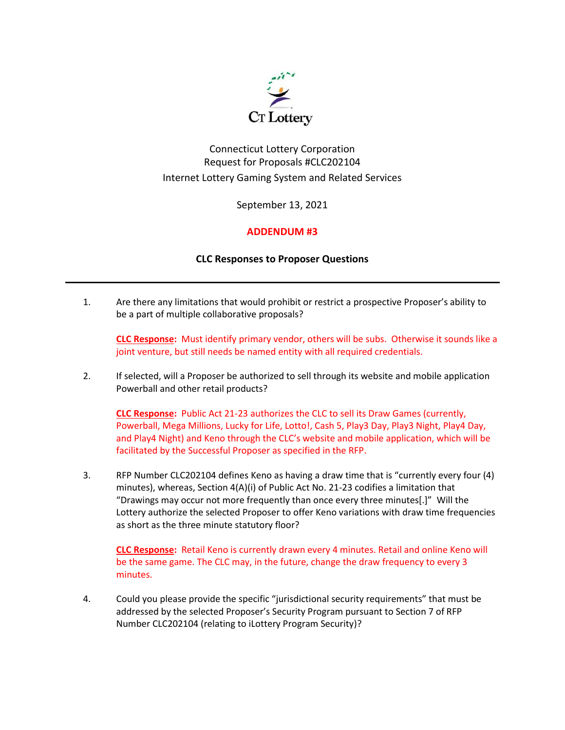

# Connecticut Lottery Corporation Request for Proposals #CLC202104 Internet Lottery Gaming System and Related Services

September 13, 2021

## **ADDENDUM #3**

## **CLC Responses to Proposer Questions**

1. Are there any limitations that would prohibit or restrict a prospective Proposer's ability to be a part of multiple collaborative proposals?

**CLC Response:** Must identify primary vendor, others will be subs. Otherwise it sounds like a joint venture, but still needs be named entity with all required credentials.

2. If selected, will a Proposer be authorized to sell through its website and mobile application Powerball and other retail products?

**CLC Response:** Public Act 21-23 authorizes the CLC to sell its Draw Games (currently, Powerball, Mega Millions, Lucky for Life, Lotto!, Cash 5, Play3 Day, Play3 Night, Play4 Day, and Play4 Night) and Keno through the CLC's website and mobile application, which will be facilitated by the Successful Proposer as specified in the RFP.

3. RFP Number CLC202104 defines Keno as having a draw time that is "currently every four (4) minutes), whereas, Section 4(A)(i) of Public Act No. 21-23 codifies a limitation that "Drawings may occur not more frequently than once every three minutes[.]" Will the Lottery authorize the selected Proposer to offer Keno variations with draw time frequencies as short as the three minute statutory floor?

**CLC Response:** Retail Keno is currently drawn every 4 minutes. Retail and online Keno will be the same game. The CLC may, in the future, change the draw frequency to every 3 minutes.

4. Could you please provide the specific "jurisdictional security requirements" that must be addressed by the selected Proposer's Security Program pursuant to Section 7 of RFP Number CLC202104 (relating to iLottery Program Security)?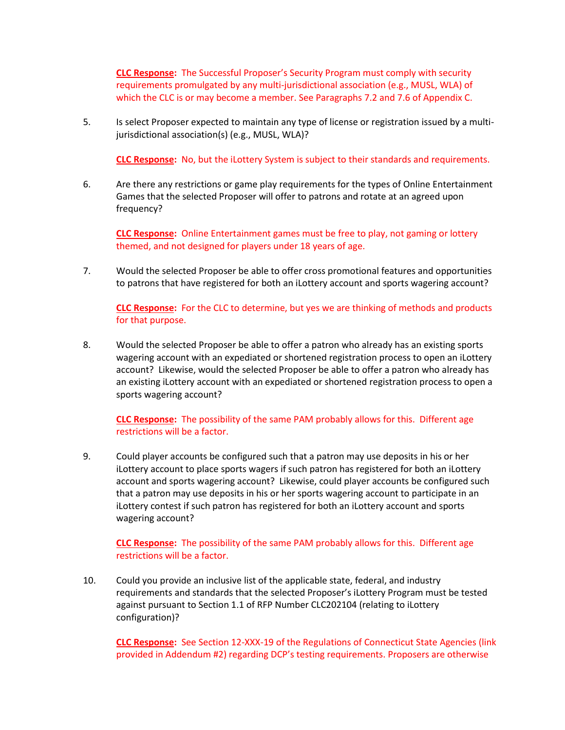**CLC Response:** The Successful Proposer's Security Program must comply with security requirements promulgated by any multi-jurisdictional association (e.g., MUSL, WLA) of which the CLC is or may become a member. See Paragraphs 7.2 and 7.6 of Appendix C.

5. Is select Proposer expected to maintain any type of license or registration issued by a multijurisdictional association(s) (e.g., MUSL, WLA)?

**CLC Response:** No, but the iLottery System is subject to their standards and requirements.

6. Are there any restrictions or game play requirements for the types of Online Entertainment Games that the selected Proposer will offer to patrons and rotate at an agreed upon frequency?

**CLC Response:** Online Entertainment games must be free to play, not gaming or lottery themed, and not designed for players under 18 years of age.

7. Would the selected Proposer be able to offer cross promotional features and opportunities to patrons that have registered for both an iLottery account and sports wagering account?

**CLC Response:** For the CLC to determine, but yes we are thinking of methods and products for that purpose.

8. Would the selected Proposer be able to offer a patron who already has an existing sports wagering account with an expediated or shortened registration process to open an iLottery account? Likewise, would the selected Proposer be able to offer a patron who already has an existing iLottery account with an expediated or shortened registration process to open a sports wagering account?

## **CLC Response:** The possibility of the same PAM probably allows for this. Different age restrictions will be a factor.

9. Could player accounts be configured such that a patron may use deposits in his or her iLottery account to place sports wagers if such patron has registered for both an iLottery account and sports wagering account? Likewise, could player accounts be configured such that a patron may use deposits in his or her sports wagering account to participate in an iLottery contest if such patron has registered for both an iLottery account and sports wagering account?

## **CLC Response:** The possibility of the same PAM probably allows for this. Different age restrictions will be a factor.

10. Could you provide an inclusive list of the applicable state, federal, and industry requirements and standards that the selected Proposer's iLottery Program must be tested against pursuant to Section 1.1 of RFP Number CLC202104 (relating to iLottery configuration)?

**CLC Response:** See Section 12-XXX-19 of the Regulations of Connecticut State Agencies (link provided in Addendum #2) regarding DCP's testing requirements. Proposers are otherwise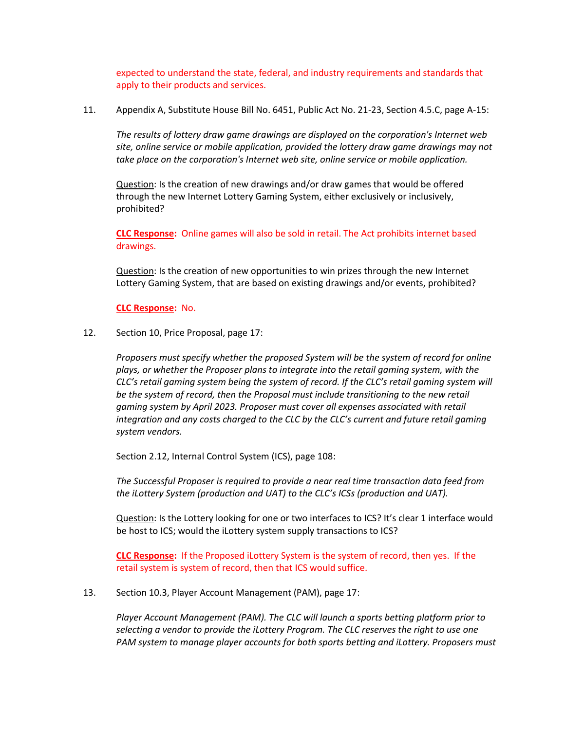expected to understand the state, federal, and industry requirements and standards that apply to their products and services.

11. Appendix A, Substitute House Bill No. 6451, Public Act No. 21-23, Section 4.5.C, page A-15:

*The results of lottery draw game drawings are displayed on the corporation's Internet web site, online service or mobile application, provided the lottery draw game drawings may not take place on the corporation's Internet web site, online service or mobile application.* 

Question: Is the creation of new drawings and/or draw games that would be offered through the new Internet Lottery Gaming System, either exclusively or inclusively, prohibited?

**CLC Response:** Online games will also be sold in retail. The Act prohibits internet based drawings.

Question: Is the creation of new opportunities to win prizes through the new Internet Lottery Gaming System, that are based on existing drawings and/or events, prohibited?

**CLC Response:** No.

### 12. Section 10, Price Proposal, page 17:

*Proposers must specify whether the proposed System will be the system of record for online plays, or whether the Proposer plans to integrate into the retail gaming system, with the CLC's retail gaming system being the system of record. If the CLC's retail gaming system will be the system of record, then the Proposal must include transitioning to the new retail gaming system by April 2023. Proposer must cover all expenses associated with retail integration and any costs charged to the CLC by the CLC's current and future retail gaming system vendors.* 

Section 2.12, Internal Control System (ICS), page 108:

*The Successful Proposer is required to provide a near real time transaction data feed from the iLottery System (production and UAT) to the CLC's ICSs (production and UAT).* 

Question: Is the Lottery looking for one or two interfaces to ICS? It's clear 1 interface would be host to ICS; would the iLottery system supply transactions to ICS?

**CLC Response:** If the Proposed iLottery System is the system of record, then yes. If the retail system is system of record, then that ICS would suffice.

#### 13. Section 10.3, Player Account Management (PAM), page 17:

*Player Account Management (PAM). The CLC will launch a sports betting platform prior to selecting a vendor to provide the iLottery Program. The CLC reserves the right to use one PAM system to manage player accounts for both sports betting and iLottery. Proposers must*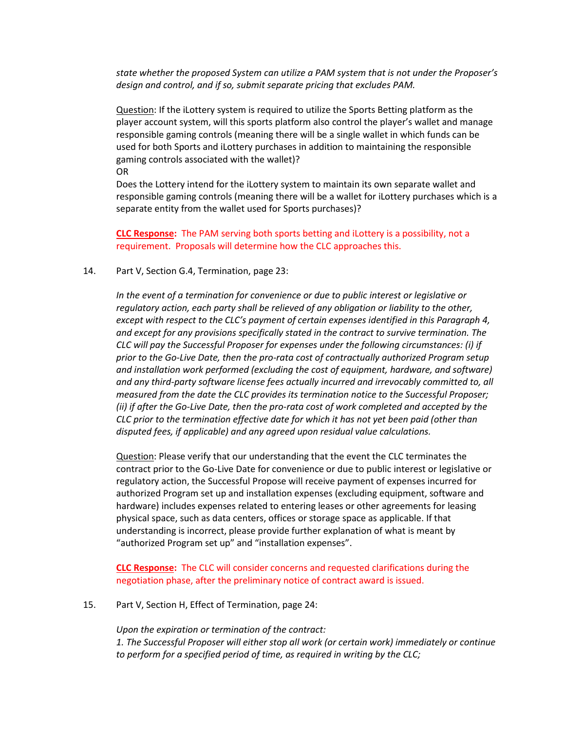*state whether the proposed System can utilize a PAM system that is not under the Proposer's design and control, and if so, submit separate pricing that excludes PAM.* 

Question: If the iLottery system is required to utilize the Sports Betting platform as the player account system, will this sports platform also control the player's wallet and manage responsible gaming controls (meaning there will be a single wallet in which funds can be used for both Sports and iLottery purchases in addition to maintaining the responsible gaming controls associated with the wallet)?

OR

Does the Lottery intend for the iLottery system to maintain its own separate wallet and responsible gaming controls (meaning there will be a wallet for iLottery purchases which is a separate entity from the wallet used for Sports purchases)?

**CLC Response:** The PAM serving both sports betting and iLottery is a possibility, not a requirement. Proposals will determine how the CLC approaches this.

#### 14. Part V, Section G.4, Termination, page 23:

In the event of a termination for convenience or due to public interest or legislative or *regulatory action, each party shall be relieved of any obligation or liability to the other, except with respect to the CLC's payment of certain expenses identified in this Paragraph 4, and except for any provisions specifically stated in the contract to survive termination. The CLC will pay the Successful Proposer for expenses under the following circumstances: (i) if prior to the Go-Live Date, then the pro-rata cost of contractually authorized Program setup and installation work performed (excluding the cost of equipment, hardware, and software) and any third-party software license fees actually incurred and irrevocably committed to, all measured from the date the CLC provides its termination notice to the Successful Proposer; (ii) if after the Go-Live Date, then the pro-rata cost of work completed and accepted by the CLC prior to the termination effective date for which it has not yet been paid (other than disputed fees, if applicable) and any agreed upon residual value calculations.*

Question: Please verify that our understanding that the event the CLC terminates the contract prior to the Go-Live Date for convenience or due to public interest or legislative or regulatory action, the Successful Propose will receive payment of expenses incurred for authorized Program set up and installation expenses (excluding equipment, software and hardware) includes expenses related to entering leases or other agreements for leasing physical space, such as data centers, offices or storage space as applicable. If that understanding is incorrect, please provide further explanation of what is meant by "authorized Program set up" and "installation expenses".

**CLC Response:** The CLC will consider concerns and requested clarifications during the negotiation phase, after the preliminary notice of contract award is issued.

15. Part V, Section H, Effect of Termination, page 24:

*Upon the expiration or termination of the contract: 1. The Successful Proposer will either stop all work (or certain work) immediately or continue to perform for a specified period of time, as required in writing by the CLC;*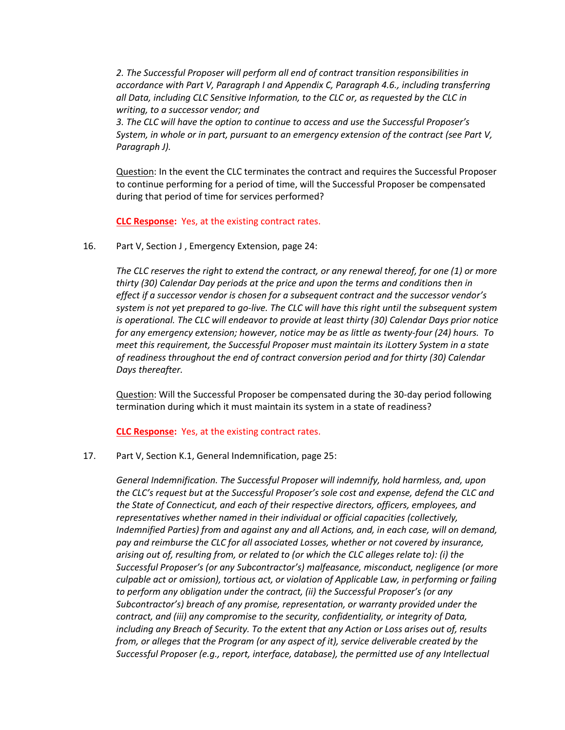*2. The Successful Proposer will perform all end of contract transition responsibilities in accordance with Part V, Paragraph I and Appendix C, Paragraph 4.6., including transferring all Data, including CLC Sensitive Information, to the CLC or, as requested by the CLC in writing, to a successor vendor; and*

*3. The CLC will have the option to continue to access and use the Successful Proposer's System, in whole or in part, pursuant to an emergency extension of the contract (see Part V, Paragraph J).*

Question: In the event the CLC terminates the contract and requires the Successful Proposer to continue performing for a period of time, will the Successful Proposer be compensated during that period of time for services performed?

**CLC Response:** Yes, at the existing contract rates.

16. Part V, Section J , Emergency Extension, page 24:

*The CLC reserves the right to extend the contract, or any renewal thereof, for one (1) or more thirty (30) Calendar Day periods at the price and upon the terms and conditions then in effect if a successor vendor is chosen for a subsequent contract and the successor vendor's system is not yet prepared to go-live. The CLC will have this right until the subsequent system is operational. The CLC will endeavor to provide at least thirty (30) Calendar Days prior notice for any emergency extension; however, notice may be as little as twenty-four (24) hours. To meet this requirement, the Successful Proposer must maintain its iLottery System in a state of readiness throughout the end of contract conversion period and for thirty (30) Calendar Days thereafter.* 

Question: Will the Successful Proposer be compensated during the 30-day period following termination during which it must maintain its system in a state of readiness?

**CLC Response:** Yes, at the existing contract rates.

17. Part V, Section K.1, General Indemnification, page 25:

*General Indemnification. The Successful Proposer will indemnify, hold harmless, and, upon the CLC's request but at the Successful Proposer's sole cost and expense, defend the CLC and the State of Connecticut, and each of their respective directors, officers, employees, and representatives whether named in their individual or official capacities (collectively, Indemnified Parties) from and against any and all Actions, and, in each case, will on demand, pay and reimburse the CLC for all associated Losses, whether or not covered by insurance, arising out of, resulting from, or related to (or which the CLC alleges relate to): (i) the Successful Proposer's (or any Subcontractor's) malfeasance, misconduct, negligence (or more culpable act or omission), tortious act, or violation of Applicable Law, in performing or failing to perform any obligation under the contract, (ii) the Successful Proposer's (or any Subcontractor's) breach of any promise, representation, or warranty provided under the contract, and (iii) any compromise to the security, confidentiality, or integrity of Data, including any Breach of Security. To the extent that any Action or Loss arises out of, results from, or alleges that the Program (or any aspect of it), service deliverable created by the Successful Proposer (e.g., report, interface, database), the permitted use of any Intellectual*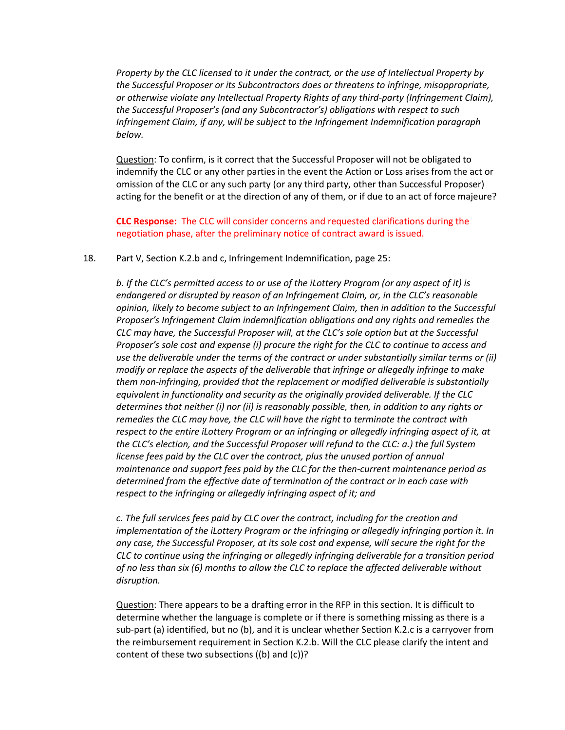*Property by the CLC licensed to it under the contract, or the use of Intellectual Property by the Successful Proposer or its Subcontractors does or threatens to infringe, misappropriate, or otherwise violate any Intellectual Property Rights of any third-party (Infringement Claim), the Successful Proposer's (and any Subcontractor's) obligations with respect to such Infringement Claim, if any, will be subject to the Infringement Indemnification paragraph below.*

Question: To confirm, is it correct that the Successful Proposer will not be obligated to indemnify the CLC or any other parties in the event the Action or Loss arises from the act or omission of the CLC or any such party (or any third party, other than Successful Proposer) acting for the benefit or at the direction of any of them, or if due to an act of force majeure?

**CLC Response:** The CLC will consider concerns and requested clarifications during the negotiation phase, after the preliminary notice of contract award is issued.

#### 18. Part V, Section K.2.b and c, Infringement Indemnification, page 25:

*b. If the CLC's permitted access to or use of the iLottery Program (or any aspect of it) is endangered or disrupted by reason of an Infringement Claim, or, in the CLC's reasonable opinion, likely to become subject to an Infringement Claim, then in addition to the Successful Proposer's Infringement Claim indemnification obligations and any rights and remedies the CLC may have, the Successful Proposer will, at the CLC's sole option but at the Successful Proposer's sole cost and expense (i) procure the right for the CLC to continue to access and use the deliverable under the terms of the contract or under substantially similar terms or (ii) modify or replace the aspects of the deliverable that infringe or allegedly infringe to make them non-infringing, provided that the replacement or modified deliverable is substantially equivalent in functionality and security as the originally provided deliverable. If the CLC determines that neither (i) nor (ii) is reasonably possible, then, in addition to any rights or remedies the CLC may have, the CLC will have the right to terminate the contract with*  respect to the entire iLottery Program or an infringing or allegedly infringing aspect of it, at *the CLC's election, and the Successful Proposer will refund to the CLC: a.) the full System license fees paid by the CLC over the contract, plus the unused portion of annual maintenance and support fees paid by the CLC for the then-current maintenance period as determined from the effective date of termination of the contract or in each case with respect to the infringing or allegedly infringing aspect of it; and*

*c. The full services fees paid by CLC over the contract, including for the creation and implementation of the iLottery Program or the infringing or allegedly infringing portion it. In any case, the Successful Proposer, at its sole cost and expense, will secure the right for the CLC to continue using the infringing or allegedly infringing deliverable for a transition period of no less than six (6) months to allow the CLC to replace the affected deliverable without disruption.* 

Question: There appears to be a drafting error in the RFP in this section. It is difficult to determine whether the language is complete or if there is something missing as there is a sub-part (a) identified, but no (b), and it is unclear whether Section K.2.c is a carryover from the reimbursement requirement in Section K.2.b. Will the CLC please clarify the intent and content of these two subsections ((b) and (c))?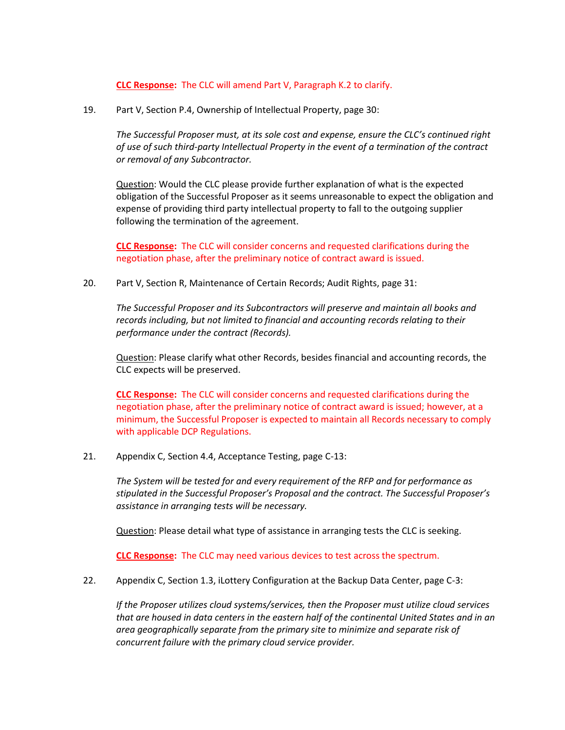### **CLC Response:** The CLC will amend Part V, Paragraph K.2 to clarify.

19. Part V, Section P.4, Ownership of Intellectual Property, page 30:

*The Successful Proposer must, at its sole cost and expense, ensure the CLC's continued right of use of such third-party Intellectual Property in the event of a termination of the contract or removal of any Subcontractor.* 

Question: Would the CLC please provide further explanation of what is the expected obligation of the Successful Proposer as it seems unreasonable to expect the obligation and expense of providing third party intellectual property to fall to the outgoing supplier following the termination of the agreement.

**CLC Response:** The CLC will consider concerns and requested clarifications during the negotiation phase, after the preliminary notice of contract award is issued.

20. Part V, Section R, Maintenance of Certain Records; Audit Rights, page 31:

*The Successful Proposer and its Subcontractors will preserve and maintain all books and records including, but not limited to financial and accounting records relating to their performance under the contract (Records).* 

Question: Please clarify what other Records, besides financial and accounting records, the CLC expects will be preserved.

**CLC Response:** The CLC will consider concerns and requested clarifications during the negotiation phase, after the preliminary notice of contract award is issued; however, at a minimum, the Successful Proposer is expected to maintain all Records necessary to comply with applicable DCP Regulations.

21. Appendix C, Section 4.4, Acceptance Testing, page C-13:

*The System will be tested for and every requirement of the RFP and for performance as stipulated in the Successful Proposer's Proposal and the contract. The Successful Proposer's assistance in arranging tests will be necessary.*

Question: Please detail what type of assistance in arranging tests the CLC is seeking.

**CLC Response:** The CLC may need various devices to test across the spectrum.

22. Appendix C, Section 1.3, iLottery Configuration at the Backup Data Center, page C-3:

*If the Proposer utilizes cloud systems/services, then the Proposer must utilize cloud services that are housed in data centers in the eastern half of the continental United States and in an area geographically separate from the primary site to minimize and separate risk of concurrent failure with the primary cloud service provider.*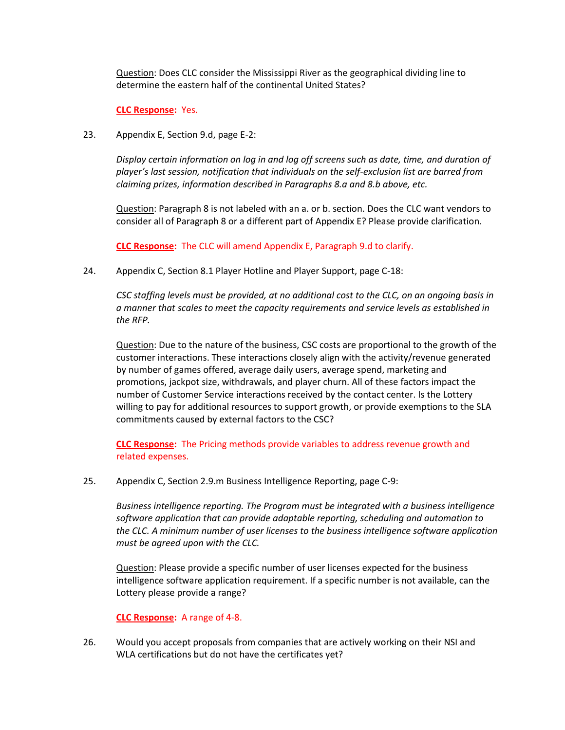Question: Does CLC consider the Mississippi River as the geographical dividing line to determine the eastern half of the continental United States?

## **CLC Response:** Yes.

23. Appendix E, Section 9.d, page E-2:

*Display certain information on log in and log off screens such as date, time, and duration of player's last session, notification that individuals on the self-exclusion list are barred from claiming prizes, information described in Paragraphs 8.a and 8.b above, etc.* 

Question: Paragraph 8 is not labeled with an a. or b. section. Does the CLC want vendors to consider all of Paragraph 8 or a different part of Appendix E? Please provide clarification.

**CLC Response:** The CLC will amend Appendix E, Paragraph 9.d to clarify.

24. Appendix C, Section 8.1 Player Hotline and Player Support, page C-18:

*CSC staffing levels must be provided, at no additional cost to the CLC, on an ongoing basis in a manner that scales to meet the capacity requirements and service levels as established in the RFP.* 

Question: Due to the nature of the business, CSC costs are proportional to the growth of the customer interactions. These interactions closely align with the activity/revenue generated by number of games offered, average daily users, average spend, marketing and promotions, jackpot size, withdrawals, and player churn. All of these factors impact the number of Customer Service interactions received by the contact center. Is the Lottery willing to pay for additional resources to support growth, or provide exemptions to the SLA commitments caused by external factors to the CSC?

**CLC Response:** The Pricing methods provide variables to address revenue growth and related expenses.

25. Appendix C, Section 2.9.m Business Intelligence Reporting, page C-9:

*Business intelligence reporting. The Program must be integrated with a business intelligence software application that can provide adaptable reporting, scheduling and automation to the CLC. A minimum number of user licenses to the business intelligence software application must be agreed upon with the CLC.* 

Question: Please provide a specific number of user licenses expected for the business intelligence software application requirement. If a specific number is not available, can the Lottery please provide a range?

## **CLC Response:** A range of 4-8.

26. Would you accept proposals from companies that are actively working on their NSI and WLA certifications but do not have the certificates yet?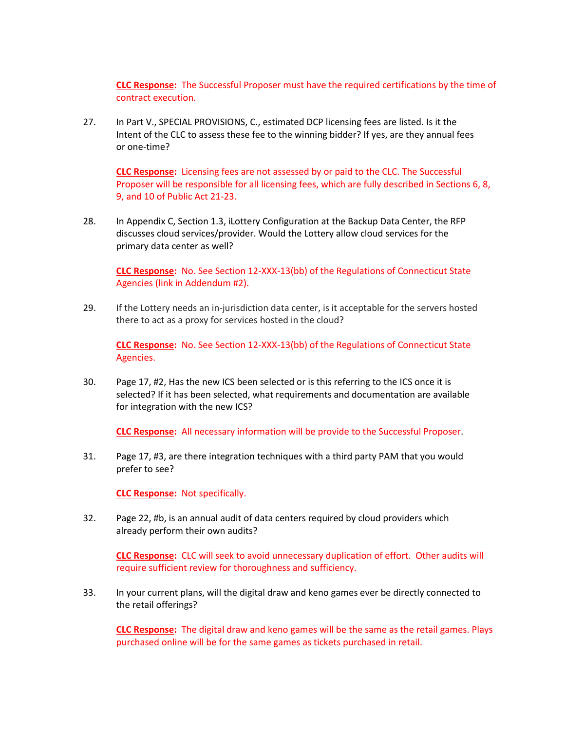**CLC Response:** The Successful Proposer must have the required certifications by the time of contract execution.

27. In Part V., SPECIAL PROVISIONS, C., estimated DCP licensing fees are listed. Is it the Intent of the CLC to assess these fee to the winning bidder? If yes, are they annual fees or one-time?

**CLC Response:** Licensing fees are not assessed by or paid to the CLC. The Successful Proposer will be responsible for all licensing fees, which are fully described in Sections 6, 8, 9, and 10 of Public Act 21-23.

28. In Appendix C, Section 1.3, iLottery Configuration at the Backup Data Center, the RFP discusses cloud services/provider. Would the Lottery allow cloud services for the primary data center as well?

**CLC Response:** No. See Section 12-XXX-13(bb) of the Regulations of Connecticut State Agencies (link in Addendum #2).

29. If the Lottery needs an in-jurisdiction data center, is it acceptable for the servers hosted there to act as a proxy for services hosted in the cloud?

**CLC Response:** No. See Section 12-XXX-13(bb) of the Regulations of Connecticut State Agencies.

30. Page 17, #2, Has the new ICS been selected or is this referring to the ICS once it is selected? If it has been selected, what requirements and documentation are available for integration with the new ICS?

**CLC Response:** All necessary information will be provide to the Successful Proposer.

31. Page 17, #3, are there integration techniques with a third party PAM that you would prefer to see?

**CLC Response:** Not specifically.

32. Page 22, #b, is an annual audit of data centers required by cloud providers which already perform their own audits?

**CLC Response:** CLC will seek to avoid unnecessary duplication of effort. Other audits will require sufficient review for thoroughness and sufficiency.

33. In your current plans, will the digital draw and keno games ever be directly connected to the retail offerings?

**CLC Response:** The digital draw and keno games will be the same as the retail games. Plays purchased online will be for the same games as tickets purchased in retail.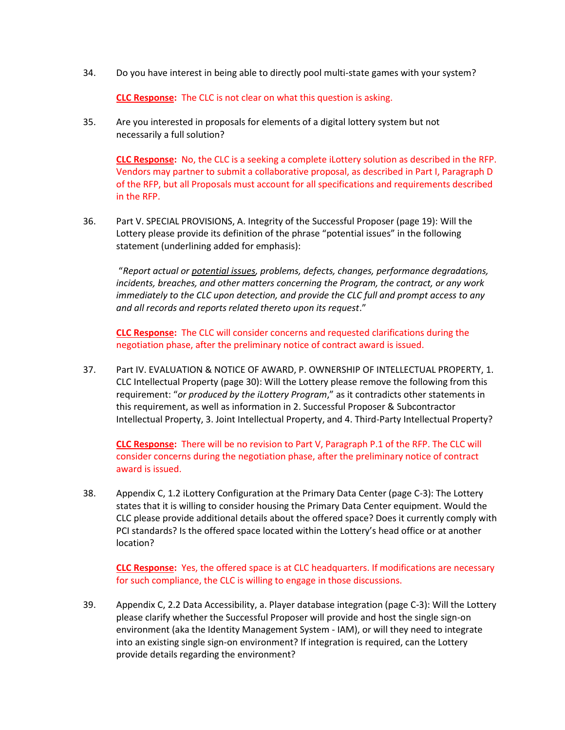34. Do you have interest in being able to directly pool multi-state games with your system?

**CLC Response:** The CLC is not clear on what this question is asking.

35. Are you interested in proposals for elements of a digital lottery system but not necessarily a full solution?

**CLC Response:** No, the CLC is a seeking a complete iLottery solution as described in the RFP. Vendors may partner to submit a collaborative proposal, as described in Part I, Paragraph D of the RFP, but all Proposals must account for all specifications and requirements described in the RFP.

36. Part V. SPECIAL PROVISIONS, A. Integrity of the Successful Proposer (page 19): Will the Lottery please provide its definition of the phrase "potential issues" in the following statement (underlining added for emphasis):

"*Report actual or potential issues, problems, defects, changes, performance degradations, incidents, breaches, and other matters concerning the Program, the contract, or any work immediately to the CLC upon detection, and provide the CLC full and prompt access to any and all records and reports related thereto upon its request*."

**CLC Response:** The CLC will consider concerns and requested clarifications during the negotiation phase, after the preliminary notice of contract award is issued.

37. Part IV. EVALUATION & NOTICE OF AWARD, P. OWNERSHIP OF INTELLECTUAL PROPERTY, 1. CLC Intellectual Property (page 30): Will the Lottery please remove the following from this requirement: "*or produced by the iLottery Program*," as it contradicts other statements in this requirement, as well as information in 2. Successful Proposer & Subcontractor Intellectual Property, 3. Joint Intellectual Property, and 4. Third-Party Intellectual Property?

**CLC Response:** There will be no revision to Part V, Paragraph P.1 of the RFP. The CLC will consider concerns during the negotiation phase, after the preliminary notice of contract award is issued.

38. Appendix C, 1.2 iLottery Configuration at the Primary Data Center (page C-3): The Lottery states that it is willing to consider housing the Primary Data Center equipment. Would the CLC please provide additional details about the offered space? Does it currently comply with PCI standards? Is the offered space located within the Lottery's head office or at another location?

**CLC Response:** Yes, the offered space is at CLC headquarters. If modifications are necessary for such compliance, the CLC is willing to engage in those discussions.

39. Appendix C, 2.2 Data Accessibility, a. Player database integration (page C-3): Will the Lottery please clarify whether the Successful Proposer will provide and host the single sign-on environment (aka the Identity Management System - IAM), or will they need to integrate into an existing single sign-on environment? If integration is required, can the Lottery provide details regarding the environment?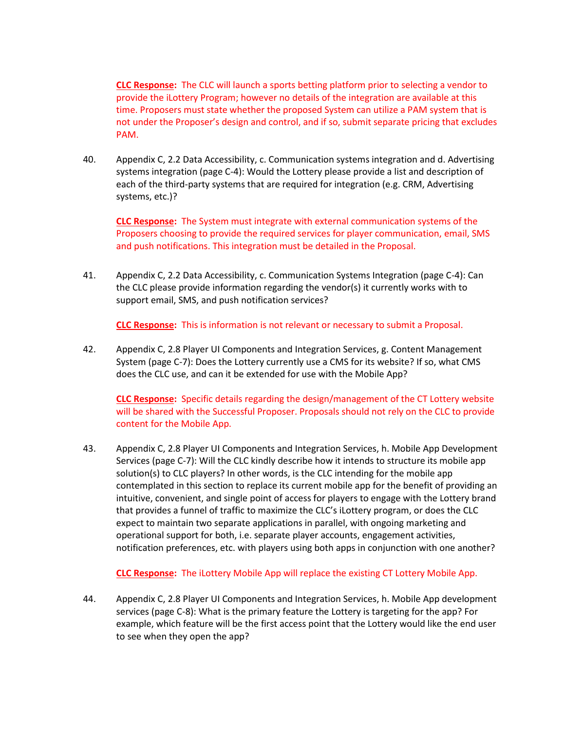**CLC Response:** The CLC will launch a sports betting platform prior to selecting a vendor to provide the iLottery Program; however no details of the integration are available at this time. Proposers must state whether the proposed System can utilize a PAM system that is not under the Proposer's design and control, and if so, submit separate pricing that excludes PAM.

40. Appendix C, 2.2 Data Accessibility, c. Communication systems integration and d. Advertising systems integration (page C-4): Would the Lottery please provide a list and description of each of the third-party systems that are required for integration (e.g. CRM, Advertising systems, etc.)?

**CLC Response:** The System must integrate with external communication systems of the Proposers choosing to provide the required services for player communication, email, SMS and push notifications. This integration must be detailed in the Proposal.

41. Appendix C, 2.2 Data Accessibility, c. Communication Systems Integration (page C-4): Can the CLC please provide information regarding the vendor(s) it currently works with to support email, SMS, and push notification services?

**CLC Response:** This is information is not relevant or necessary to submit a Proposal.

42. Appendix C, 2.8 Player UI Components and Integration Services, g. Content Management System (page C-7): Does the Lottery currently use a CMS for its website? If so, what CMS does the CLC use, and can it be extended for use with the Mobile App?

**CLC Response:** Specific details regarding the design/management of the CT Lottery website will be shared with the Successful Proposer. Proposals should not rely on the CLC to provide content for the Mobile App.

43. Appendix C, 2.8 Player UI Components and Integration Services, h. Mobile App Development Services (page C-7): Will the CLC kindly describe how it intends to structure its mobile app solution(s) to CLC players? In other words, is the CLC intending for the mobile app contemplated in this section to replace its current mobile app for the benefit of providing an intuitive, convenient, and single point of access for players to engage with the Lottery brand that provides a funnel of traffic to maximize the CLC's iLottery program, or does the CLC expect to maintain two separate applications in parallel, with ongoing marketing and operational support for both, i.e. separate player accounts, engagement activities, notification preferences, etc. with players using both apps in conjunction with one another?

## **CLC Response:** The iLottery Mobile App will replace the existing CT Lottery Mobile App.

44. Appendix C, 2.8 Player UI Components and Integration Services, h. Mobile App development services (page C-8): What is the primary feature the Lottery is targeting for the app? For example, which feature will be the first access point that the Lottery would like the end user to see when they open the app?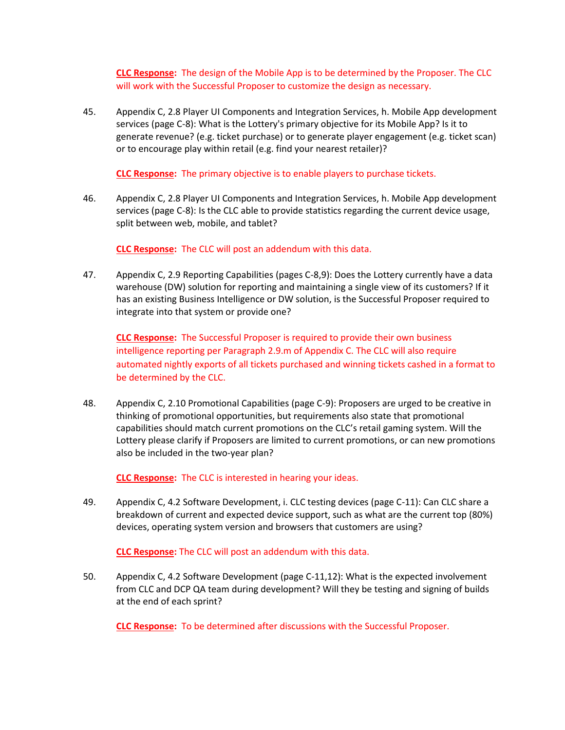**CLC Response:** The design of the Mobile App is to be determined by the Proposer. The CLC will work with the Successful Proposer to customize the design as necessary.

45. Appendix C, 2.8 Player UI Components and Integration Services, h. Mobile App development services (page C-8): What is the Lottery's primary objective for its Mobile App? Is it to generate revenue? (e.g. ticket purchase) or to generate player engagement (e.g. ticket scan) or to encourage play within retail (e.g. find your nearest retailer)?

**CLC Response:** The primary objective is to enable players to purchase tickets.

46. Appendix C, 2.8 Player UI Components and Integration Services, h. Mobile App development services (page C-8): Is the CLC able to provide statistics regarding the current device usage, split between web, mobile, and tablet?

**CLC Response:** The CLC will post an addendum with this data.

47. Appendix C, 2.9 Reporting Capabilities (pages C-8,9): Does the Lottery currently have a data warehouse (DW) solution for reporting and maintaining a single view of its customers? If it has an existing Business Intelligence or DW solution, is the Successful Proposer required to integrate into that system or provide one?

**CLC Response:** The Successful Proposer is required to provide their own business intelligence reporting per Paragraph 2.9.m of Appendix C. The CLC will also require automated nightly exports of all tickets purchased and winning tickets cashed in a format to be determined by the CLC.

48. Appendix C, 2.10 Promotional Capabilities (page C-9): Proposers are urged to be creative in thinking of promotional opportunities, but requirements also state that promotional capabilities should match current promotions on the CLC's retail gaming system. Will the Lottery please clarify if Proposers are limited to current promotions, or can new promotions also be included in the two-year plan?

**CLC Response:** The CLC is interested in hearing your ideas.

49. Appendix C, 4.2 Software Development, i. CLC testing devices (page C-11): Can CLC share a breakdown of current and expected device support, such as what are the current top (80%) devices, operating system version and browsers that customers are using?

**CLC Response:** The CLC will post an addendum with this data.

50. Appendix C, 4.2 Software Development (page C-11,12): What is the expected involvement from CLC and DCP QA team during development? Will they be testing and signing of builds at the end of each sprint?

**CLC Response:** To be determined after discussions with the Successful Proposer.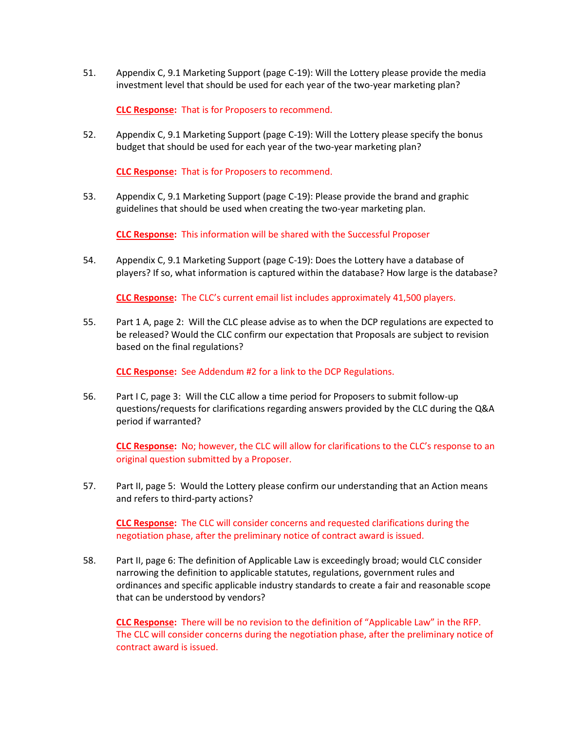51. Appendix C, 9.1 Marketing Support (page C-19): Will the Lottery please provide the media investment level that should be used for each year of the two-year marketing plan?

**CLC Response:** That is for Proposers to recommend.

52. Appendix C, 9.1 Marketing Support (page C-19): Will the Lottery please specify the bonus budget that should be used for each year of the two-year marketing plan?

**CLC Response:** That is for Proposers to recommend.

53. Appendix C, 9.1 Marketing Support (page C-19): Please provide the brand and graphic guidelines that should be used when creating the two-year marketing plan.

**CLC Response:** This information will be shared with the Successful Proposer

54. Appendix C, 9.1 Marketing Support (page C-19): Does the Lottery have a database of players? If so, what information is captured within the database? How large is the database?

**CLC Response:** The CLC's current email list includes approximately 41,500 players.

55. Part 1 A, page 2: Will the CLC please advise as to when the DCP regulations are expected to be released? Would the CLC confirm our expectation that Proposals are subject to revision based on the final regulations?

**CLC Response:** See Addendum #2 for a link to the DCP Regulations.

56. Part I C, page 3: Will the CLC allow a time period for Proposers to submit follow-up questions/requests for clarifications regarding answers provided by the CLC during the Q&A period if warranted?

**CLC Response:** No; however, the CLC will allow for clarifications to the CLC's response to an original question submitted by a Proposer.

57. Part II, page 5: Would the Lottery please confirm our understanding that an Action means and refers to third-party actions?

**CLC Response:** The CLC will consider concerns and requested clarifications during the negotiation phase, after the preliminary notice of contract award is issued.

58. Part II, page 6: The definition of Applicable Law is exceedingly broad; would CLC consider narrowing the definition to applicable statutes, regulations, government rules and ordinances and specific applicable industry standards to create a fair and reasonable scope that can be understood by vendors?

**CLC Response:** There will be no revision to the definition of "Applicable Law" in the RFP. The CLC will consider concerns during the negotiation phase, after the preliminary notice of contract award is issued.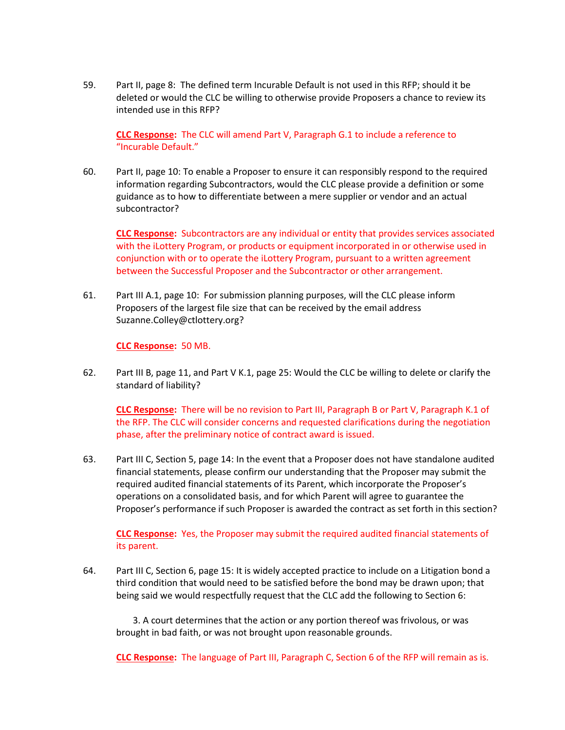59. Part II, page 8: The defined term Incurable Default is not used in this RFP; should it be deleted or would the CLC be willing to otherwise provide Proposers a chance to review its intended use in this RFP?

**CLC Response:** The CLC will amend Part V, Paragraph G.1 to include a reference to "Incurable Default."

60. Part II, page 10: To enable a Proposer to ensure it can responsibly respond to the required information regarding Subcontractors, would the CLC please provide a definition or some guidance as to how to differentiate between a mere supplier or vendor and an actual subcontractor?

**CLC Response:** Subcontractors are any individual or entity that provides services associated with the iLottery Program, or products or equipment incorporated in or otherwise used in conjunction with or to operate the iLottery Program, pursuant to a written agreement between the Successful Proposer and the Subcontractor or other arrangement.

61. Part III A.1, page 10: For submission planning purposes, will the CLC please inform Proposers of the largest file size that can be received by the email address Suzanne.Colley@ctlottery.org?

**CLC Response:** 50 MB.

62. Part III B, page 11, and Part V K.1, page 25: Would the CLC be willing to delete or clarify the standard of liability?

**CLC Response:** There will be no revision to Part III, Paragraph B or Part V, Paragraph K.1 of the RFP. The CLC will consider concerns and requested clarifications during the negotiation phase, after the preliminary notice of contract award is issued.

63. Part III C, Section 5, page 14: In the event that a Proposer does not have standalone audited financial statements, please confirm our understanding that the Proposer may submit the required audited financial statements of its Parent, which incorporate the Proposer's operations on a consolidated basis, and for which Parent will agree to guarantee the Proposer's performance if such Proposer is awarded the contract as set forth in this section?

**CLC Response:** Yes, the Proposer may submit the required audited financial statements of its parent.

64. Part III C, Section 6, page 15: It is widely accepted practice to include on a Litigation bond a third condition that would need to be satisfied before the bond may be drawn upon; that being said we would respectfully request that the CLC add the following to Section 6:

3. A court determines that the action or any portion thereof was frivolous, or was brought in bad faith, or was not brought upon reasonable grounds.

**CLC Response:** The language of Part III, Paragraph C, Section 6 of the RFP will remain as is.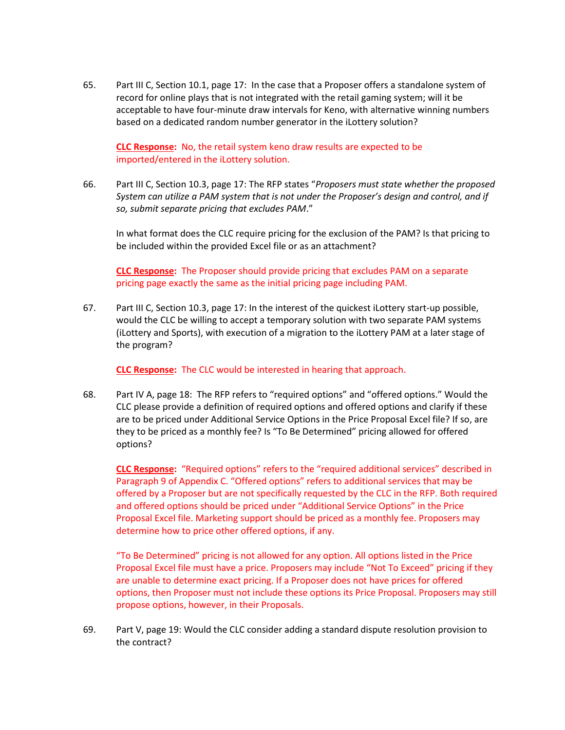65. Part III C, Section 10.1, page 17: In the case that a Proposer offers a standalone system of record for online plays that is not integrated with the retail gaming system; will it be acceptable to have four-minute draw intervals for Keno, with alternative winning numbers based on a dedicated random number generator in the iLottery solution?

**CLC Response:** No, the retail system keno draw results are expected to be imported/entered in the iLottery solution.

66. Part III C, Section 10.3, page 17: The RFP states "*Proposers must state whether the proposed System can utilize a PAM system that is not under the Proposer's design and control, and if so, submit separate pricing that excludes PAM*."

In what format does the CLC require pricing for the exclusion of the PAM? Is that pricing to be included within the provided Excel file or as an attachment?

**CLC Response:** The Proposer should provide pricing that excludes PAM on a separate pricing page exactly the same as the initial pricing page including PAM.

67. Part III C, Section 10.3, page 17: In the interest of the quickest iLottery start-up possible, would the CLC be willing to accept a temporary solution with two separate PAM systems (iLottery and Sports), with execution of a migration to the iLottery PAM at a later stage of the program?

**CLC Response:** The CLC would be interested in hearing that approach.

68. Part IV A, page 18: The RFP refers to "required options" and "offered options." Would the CLC please provide a definition of required options and offered options and clarify if these are to be priced under Additional Service Options in the Price Proposal Excel file? If so, are they to be priced as a monthly fee? Is "To Be Determined" pricing allowed for offered options?

**CLC Response:** "Required options" refers to the "required additional services" described in Paragraph 9 of Appendix C. "Offered options" refers to additional services that may be offered by a Proposer but are not specifically requested by the CLC in the RFP. Both required and offered options should be priced under "Additional Service Options" in the Price Proposal Excel file. Marketing support should be priced as a monthly fee. Proposers may determine how to price other offered options, if any.

"To Be Determined" pricing is not allowed for any option. All options listed in the Price Proposal Excel file must have a price. Proposers may include "Not To Exceed" pricing if they are unable to determine exact pricing. If a Proposer does not have prices for offered options, then Proposer must not include these options its Price Proposal. Proposers may still propose options, however, in their Proposals.

69. Part V, page 19: Would the CLC consider adding a standard dispute resolution provision to the contract?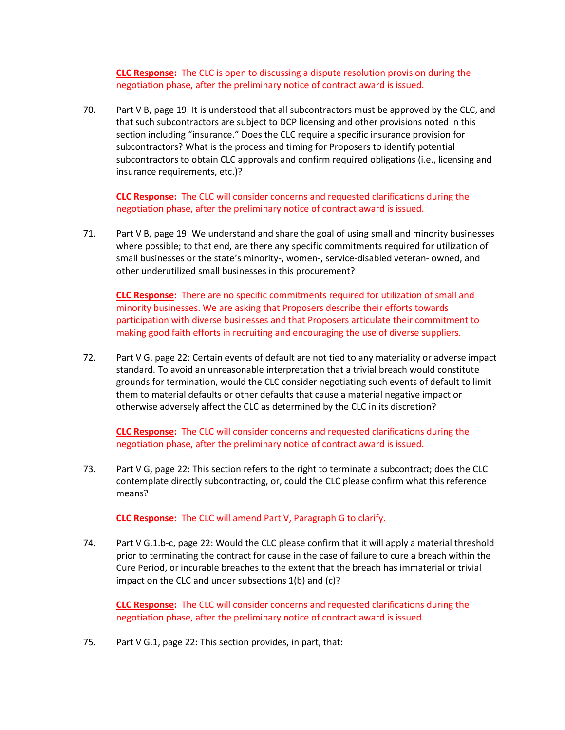**CLC Response:** The CLC is open to discussing a dispute resolution provision during the negotiation phase, after the preliminary notice of contract award is issued.

70. Part V B, page 19: It is understood that all subcontractors must be approved by the CLC, and that such subcontractors are subject to DCP licensing and other provisions noted in this section including "insurance." Does the CLC require a specific insurance provision for subcontractors? What is the process and timing for Proposers to identify potential subcontractors to obtain CLC approvals and confirm required obligations (i.e., licensing and insurance requirements, etc.)?

**CLC Response:** The CLC will consider concerns and requested clarifications during the negotiation phase, after the preliminary notice of contract award is issued.

71. Part V B, page 19: We understand and share the goal of using small and minority businesses where possible; to that end, are there any specific commitments required for utilization of small businesses or the state's minority-, women-, service-disabled veteran- owned, and other underutilized small businesses in this procurement?

**CLC Response:** There are no specific commitments required for utilization of small and minority businesses. We are asking that Proposers describe their efforts towards participation with diverse businesses and that Proposers articulate their commitment to making good faith efforts in recruiting and encouraging the use of diverse suppliers.

72. Part V G, page 22: Certain events of default are not tied to any materiality or adverse impact standard. To avoid an unreasonable interpretation that a trivial breach would constitute grounds for termination, would the CLC consider negotiating such events of default to limit them to material defaults or other defaults that cause a material negative impact or otherwise adversely affect the CLC as determined by the CLC in its discretion?

**CLC Response:** The CLC will consider concerns and requested clarifications during the negotiation phase, after the preliminary notice of contract award is issued.

73. Part V G, page 22: This section refers to the right to terminate a subcontract; does the CLC contemplate directly subcontracting, or, could the CLC please confirm what this reference means?

**CLC Response:** The CLC will amend Part V, Paragraph G to clarify.

74. Part V G.1.b-c, page 22: Would the CLC please confirm that it will apply a material threshold prior to terminating the contract for cause in the case of failure to cure a breach within the Cure Period, or incurable breaches to the extent that the breach has immaterial or trivial impact on the CLC and under subsections 1(b) and (c)?

**CLC Response:** The CLC will consider concerns and requested clarifications during the negotiation phase, after the preliminary notice of contract award is issued.

75. Part V G.1, page 22: This section provides, in part, that: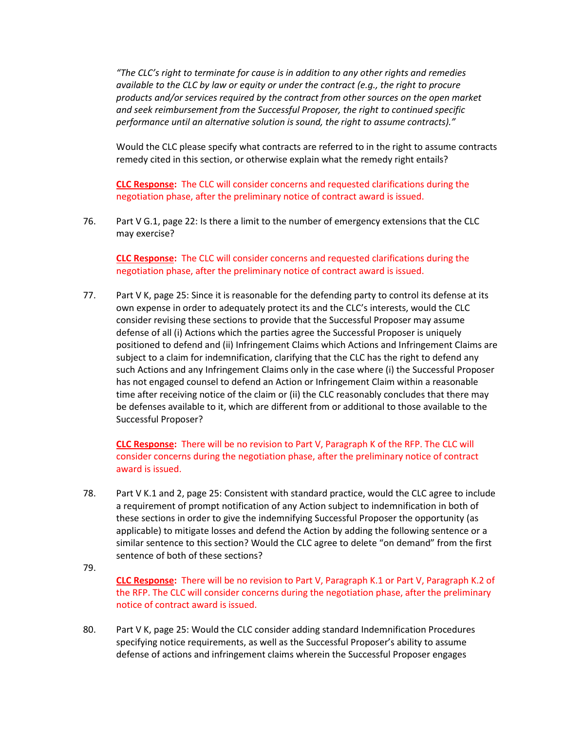*"The CLC's right to terminate for cause is in addition to any other rights and remedies available to the CLC by law or equity or under the contract (e.g., the right to procure products and/or services required by the contract from other sources on the open market and seek reimbursement from the Successful Proposer, the right to continued specific performance until an alternative solution is sound, the right to assume contracts)."*

Would the CLC please specify what contracts are referred to in the right to assume contracts remedy cited in this section, or otherwise explain what the remedy right entails?

**CLC Response:** The CLC will consider concerns and requested clarifications during the negotiation phase, after the preliminary notice of contract award is issued.

76. Part V G.1, page 22: Is there a limit to the number of emergency extensions that the CLC may exercise?

**CLC Response:** The CLC will consider concerns and requested clarifications during the negotiation phase, after the preliminary notice of contract award is issued.

77. Part V K, page 25: Since it is reasonable for the defending party to control its defense at its own expense in order to adequately protect its and the CLC's interests, would the CLC consider revising these sections to provide that the Successful Proposer may assume defense of all (i) Actions which the parties agree the Successful Proposer is uniquely positioned to defend and (ii) Infringement Claims which Actions and Infringement Claims are subject to a claim for indemnification, clarifying that the CLC has the right to defend any such Actions and any Infringement Claims only in the case where (i) the Successful Proposer has not engaged counsel to defend an Action or Infringement Claim within a reasonable time after receiving notice of the claim or (ii) the CLC reasonably concludes that there may be defenses available to it, which are different from or additional to those available to the Successful Proposer?

**CLC Response:** There will be no revision to Part V, Paragraph K of the RFP. The CLC will consider concerns during the negotiation phase, after the preliminary notice of contract award is issued.

- 78. Part V K.1 and 2, page 25: Consistent with standard practice, would the CLC agree to include a requirement of prompt notification of any Action subject to indemnification in both of these sections in order to give the indemnifying Successful Proposer the opportunity (as applicable) to mitigate losses and defend the Action by adding the following sentence or a similar sentence to this section? Would the CLC agree to delete "on demand" from the first sentence of both of these sections?
- 79.

**CLC Response:** There will be no revision to Part V, Paragraph K.1 or Part V, Paragraph K.2 of the RFP. The CLC will consider concerns during the negotiation phase, after the preliminary notice of contract award is issued.

80. Part V K, page 25: Would the CLC consider adding standard Indemnification Procedures specifying notice requirements, as well as the Successful Proposer's ability to assume defense of actions and infringement claims wherein the Successful Proposer engages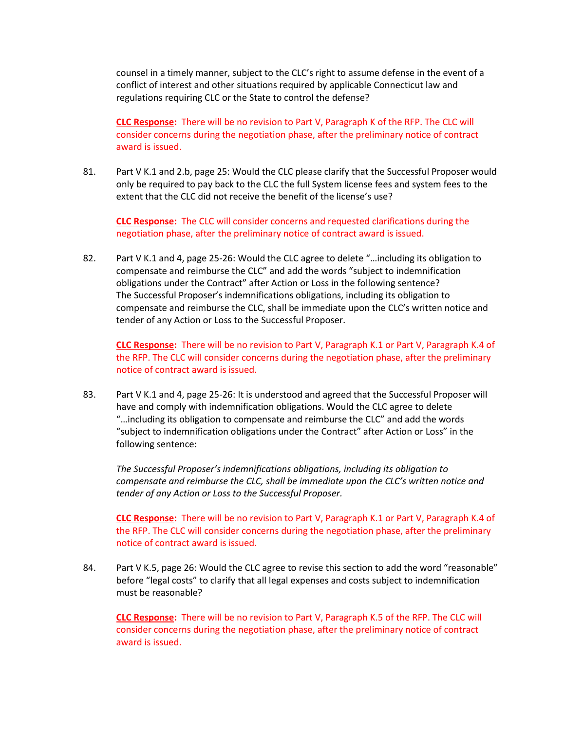counsel in a timely manner, subject to the CLC's right to assume defense in the event of a conflict of interest and other situations required by applicable Connecticut law and regulations requiring CLC or the State to control the defense?

**CLC Response:** There will be no revision to Part V, Paragraph K of the RFP. The CLC will consider concerns during the negotiation phase, after the preliminary notice of contract award is issued.

81. Part V K.1 and 2.b, page 25: Would the CLC please clarify that the Successful Proposer would only be required to pay back to the CLC the full System license fees and system fees to the extent that the CLC did not receive the benefit of the license's use?

**CLC Response:** The CLC will consider concerns and requested clarifications during the negotiation phase, after the preliminary notice of contract award is issued.

82. Part V K.1 and 4, page 25-26: Would the CLC agree to delete "...including its obligation to compensate and reimburse the CLC" and add the words "subject to indemnification obligations under the Contract" after Action or Loss in the following sentence? The Successful Proposer's indemnifications obligations, including its obligation to compensate and reimburse the CLC, shall be immediate upon the CLC's written notice and tender of any Action or Loss to the Successful Proposer.

**CLC Response:** There will be no revision to Part V, Paragraph K.1 or Part V, Paragraph K.4 of the RFP. The CLC will consider concerns during the negotiation phase, after the preliminary notice of contract award is issued.

83. Part V K.1 and 4, page 25-26: It is understood and agreed that the Successful Proposer will have and comply with indemnification obligations. Would the CLC agree to delete "…including its obligation to compensate and reimburse the CLC" and add the words "subject to indemnification obligations under the Contract" after Action or Loss" in the following sentence:

*The Successful Proposer's indemnifications obligations, including its obligation to compensate and reimburse the CLC, shall be immediate upon the CLC's written notice and tender of any Action or Loss to the Successful Proposer.*

**CLC Response:** There will be no revision to Part V, Paragraph K.1 or Part V, Paragraph K.4 of the RFP. The CLC will consider concerns during the negotiation phase, after the preliminary notice of contract award is issued.

84. Part V K.5, page 26: Would the CLC agree to revise this section to add the word "reasonable" before "legal costs" to clarify that all legal expenses and costs subject to indemnification must be reasonable?

**CLC Response:** There will be no revision to Part V, Paragraph K.5 of the RFP. The CLC will consider concerns during the negotiation phase, after the preliminary notice of contract award is issued.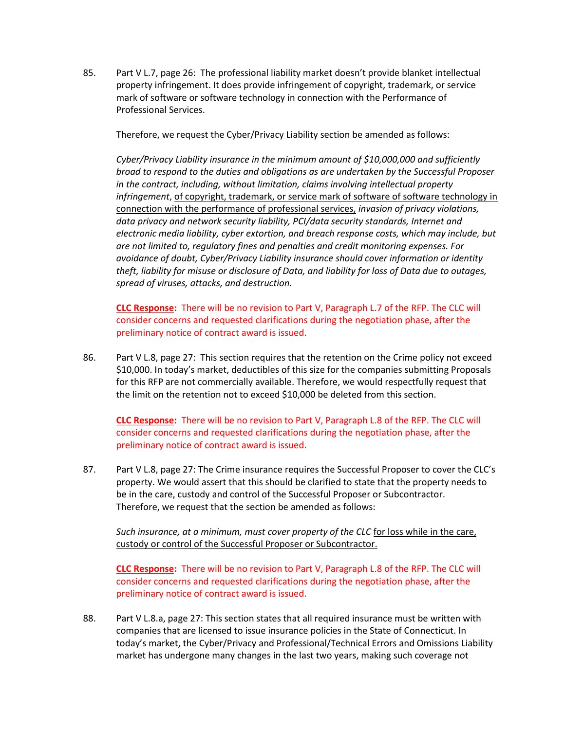85. Part V L.7, page 26: The professional liability market doesn't provide blanket intellectual property infringement. It does provide infringement of copyright, trademark, or service mark of software or software technology in connection with the Performance of Professional Services.

Therefore, we request the Cyber/Privacy Liability section be amended as follows:

*Cyber/Privacy Liability insurance in the minimum amount of \$10,000,000 and sufficiently broad to respond to the duties and obligations as are undertaken by the Successful Proposer in the contract, including, without limitation, claims involving intellectual property infringement*, of copyright, trademark, or service mark of software of software technology in connection with the performance of professional services, *invasion of privacy violations, data privacy and network security liability, PCI/data security standards, Internet and electronic media liability, cyber extortion, and breach response costs, which may include, but are not limited to, regulatory fines and penalties and credit monitoring expenses. For avoidance of doubt, Cyber/Privacy Liability insurance should cover information or identity theft, liability for misuse or disclosure of Data, and liability for loss of Data due to outages, spread of viruses, attacks, and destruction.*

**CLC Response:** There will be no revision to Part V, Paragraph L.7 of the RFP. The CLC will consider concerns and requested clarifications during the negotiation phase, after the preliminary notice of contract award is issued.

86. Part V L.8, page 27: This section requires that the retention on the Crime policy not exceed \$10,000. In today's market, deductibles of this size for the companies submitting Proposals for this RFP are not commercially available. Therefore, we would respectfully request that the limit on the retention not to exceed \$10,000 be deleted from this section.

**CLC Response:** There will be no revision to Part V, Paragraph L.8 of the RFP. The CLC will consider concerns and requested clarifications during the negotiation phase, after the preliminary notice of contract award is issued.

87. Part V L.8, page 27: The Crime insurance requires the Successful Proposer to cover the CLC's property. We would assert that this should be clarified to state that the property needs to be in the care, custody and control of the Successful Proposer or Subcontractor. Therefore, we request that the section be amended as follows:

*Such insurance, at a minimum, must cover property of the CLC* for loss while in the care, custody or control of the Successful Proposer or Subcontractor.

**CLC Response:** There will be no revision to Part V, Paragraph L.8 of the RFP. The CLC will consider concerns and requested clarifications during the negotiation phase, after the preliminary notice of contract award is issued.

88. Part V L.8.a, page 27: This section states that all required insurance must be written with companies that are licensed to issue insurance policies in the State of Connecticut. In today's market, the Cyber/Privacy and Professional/Technical Errors and Omissions Liability market has undergone many changes in the last two years, making such coverage not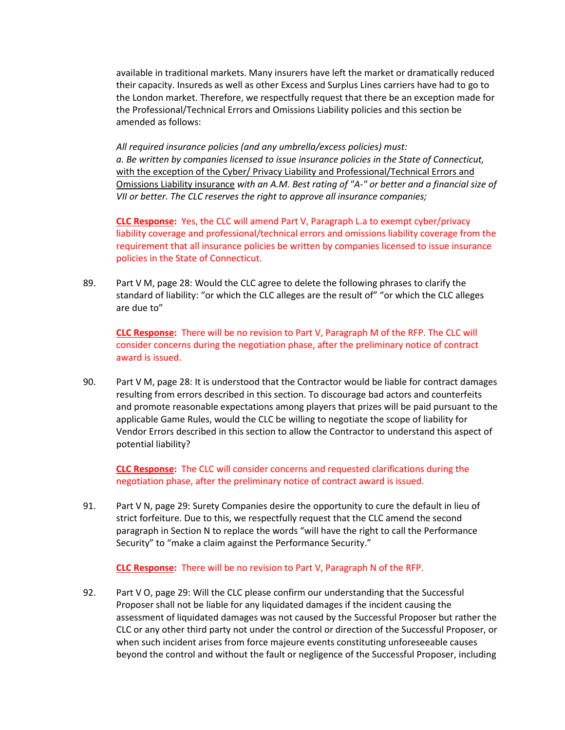available in traditional markets. Many insurers have left the market or dramatically reduced their capacity. Insureds as well as other Excess and Surplus Lines carriers have had to go to the London market. Therefore, we respectfully request that there be an exception made for the Professional/Technical Errors and Omissions Liability policies and this section be amended as follows:

*All required insurance policies (and any umbrella/excess policies) must: a. Be written by companies licensed to issue insurance policies in the State of Connecticut,*  with the exception of the Cyber/ Privacy Liability and Professional/Technical Errors and Omissions Liability insurance *with an A.M. Best rating of "A-" or better and a financial size of VII or better. The CLC reserves the right to approve all insurance companies;*

**CLC Response:** Yes, the CLC will amend Part V, Paragraph L.a to exempt cyber/privacy liability coverage and professional/technical errors and omissions liability coverage from the requirement that all insurance policies be written by companies licensed to issue insurance policies in the State of Connecticut.

89. Part V M, page 28: Would the CLC agree to delete the following phrases to clarify the standard of liability: "or which the CLC alleges are the result of" "or which the CLC alleges are due to"

**CLC Response:** There will be no revision to Part V, Paragraph M of the RFP. The CLC will consider concerns during the negotiation phase, after the preliminary notice of contract award is issued.

90. Part V M, page 28: It is understood that the Contractor would be liable for contract damages resulting from errors described in this section. To discourage bad actors and counterfeits and promote reasonable expectations among players that prizes will be paid pursuant to the applicable Game Rules, would the CLC be willing to negotiate the scope of liability for Vendor Errors described in this section to allow the Contractor to understand this aspect of potential liability?

**CLC Response:** The CLC will consider concerns and requested clarifications during the negotiation phase, after the preliminary notice of contract award is issued.

91. Part V N, page 29: Surety Companies desire the opportunity to cure the default in lieu of strict forfeiture. Due to this, we respectfully request that the CLC amend the second paragraph in Section N to replace the words "will have the right to call the Performance Security" to "make a claim against the Performance Security."

**CLC Response:** There will be no revision to Part V, Paragraph N of the RFP.

92. Part V O, page 29: Will the CLC please confirm our understanding that the Successful Proposer shall not be liable for any liquidated damages if the incident causing the assessment of liquidated damages was not caused by the Successful Proposer but rather the CLC or any other third party not under the control or direction of the Successful Proposer, or when such incident arises from force majeure events constituting unforeseeable causes beyond the control and without the fault or negligence of the Successful Proposer, including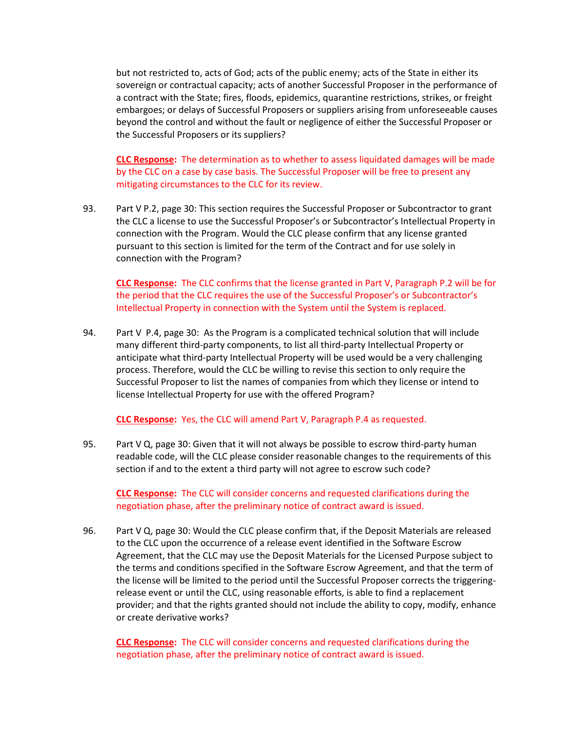but not restricted to, acts of God; acts of the public enemy; acts of the State in either its sovereign or contractual capacity; acts of another Successful Proposer in the performance of a contract with the State; fires, floods, epidemics, quarantine restrictions, strikes, or freight embargoes; or delays of Successful Proposers or suppliers arising from unforeseeable causes beyond the control and without the fault or negligence of either the Successful Proposer or the Successful Proposers or its suppliers?

**CLC Response:** The determination as to whether to assess liquidated damages will be made by the CLC on a case by case basis. The Successful Proposer will be free to present any mitigating circumstances to the CLC for its review.

93. Part V P.2, page 30: This section requires the Successful Proposer or Subcontractor to grant the CLC a license to use the Successful Proposer's or Subcontractor's Intellectual Property in connection with the Program. Would the CLC please confirm that any license granted pursuant to this section is limited for the term of the Contract and for use solely in connection with the Program?

**CLC Response:** The CLC confirms that the license granted in Part V, Paragraph P.2 will be for the period that the CLC requires the use of the Successful Proposer's or Subcontractor's Intellectual Property in connection with the System until the System is replaced.

94. Part V P.4, page 30: As the Program is a complicated technical solution that will include many different third-party components, to list all third-party Intellectual Property or anticipate what third-party Intellectual Property will be used would be a very challenging process. Therefore, would the CLC be willing to revise this section to only require the Successful Proposer to list the names of companies from which they license or intend to license Intellectual Property for use with the offered Program?

**CLC Response:** Yes, the CLC will amend Part V, Paragraph P.4 as requested.

95. Part V Q, page 30: Given that it will not always be possible to escrow third-party human readable code, will the CLC please consider reasonable changes to the requirements of this section if and to the extent a third party will not agree to escrow such code?

**CLC Response:** The CLC will consider concerns and requested clarifications during the negotiation phase, after the preliminary notice of contract award is issued.

96. Part V Q, page 30: Would the CLC please confirm that, if the Deposit Materials are released to the CLC upon the occurrence of a release event identified in the Software Escrow Agreement, that the CLC may use the Deposit Materials for the Licensed Purpose subject to the terms and conditions specified in the Software Escrow Agreement, and that the term of the license will be limited to the period until the Successful Proposer corrects the triggeringrelease event or until the CLC, using reasonable efforts, is able to find a replacement provider; and that the rights granted should not include the ability to copy, modify, enhance or create derivative works?

**CLC Response:** The CLC will consider concerns and requested clarifications during the negotiation phase, after the preliminary notice of contract award is issued.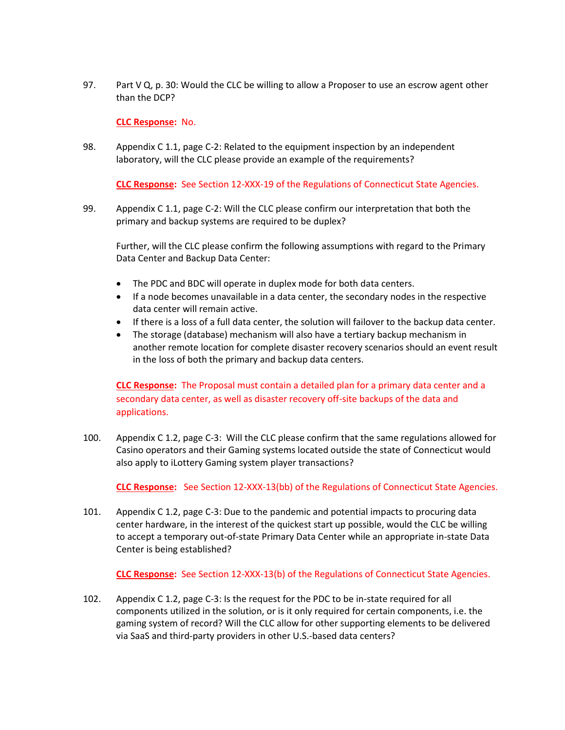97. Part V  $Q$ , p. 30: Would the CLC be willing to allow a Proposer to use an escrow agent other than the DCP?

**CLC Response:** No.

98. Appendix C 1.1, page C-2: Related to the equipment inspection by an independent laboratory, will the CLC please provide an example of the requirements?

**CLC Response:** See Section 12-XXX-19 of the Regulations of Connecticut State Agencies.

99. Appendix C 1.1, page C-2: Will the CLC please confirm our interpretation that both the primary and backup systems are required to be duplex?

Further, will the CLC please confirm the following assumptions with regard to the Primary Data Center and Backup Data Center:

- The PDC and BDC will operate in duplex mode for both data centers.
- If a node becomes unavailable in a data center, the secondary nodes in the respective data center will remain active.
- If there is a loss of a full data center, the solution will failover to the backup data center.
- The storage (database) mechanism will also have a tertiary backup mechanism in another remote location for complete disaster recovery scenarios should an event result in the loss of both the primary and backup data centers.

**CLC Response:** The Proposal must contain a detailed plan for a primary data center and a secondary data center, as well as disaster recovery off-site backups of the data and applications.

100. Appendix C 1.2, page C-3: Will the CLC please confirm that the same regulations allowed for Casino operators and their Gaming systems located outside the state of Connecticut would also apply to iLottery Gaming system player transactions?

**CLC Response:** See Section 12-XXX-13(bb) of the Regulations of Connecticut State Agencies.

101. Appendix C 1.2, page C-3: Due to the pandemic and potential impacts to procuring data center hardware, in the interest of the quickest start up possible, would the CLC be willing to accept a temporary out-of-state Primary Data Center while an appropriate in-state Data Center is being established?

**CLC Response:** See Section 12-XXX-13(b) of the Regulations of Connecticut State Agencies.

102. Appendix C 1.2, page C-3: Is the request for the PDC to be in-state required for all components utilized in the solution, or is it only required for certain components, i.e. the gaming system of record? Will the CLC allow for other supporting elements to be delivered via SaaS and third-party providers in other U.S.-based data centers?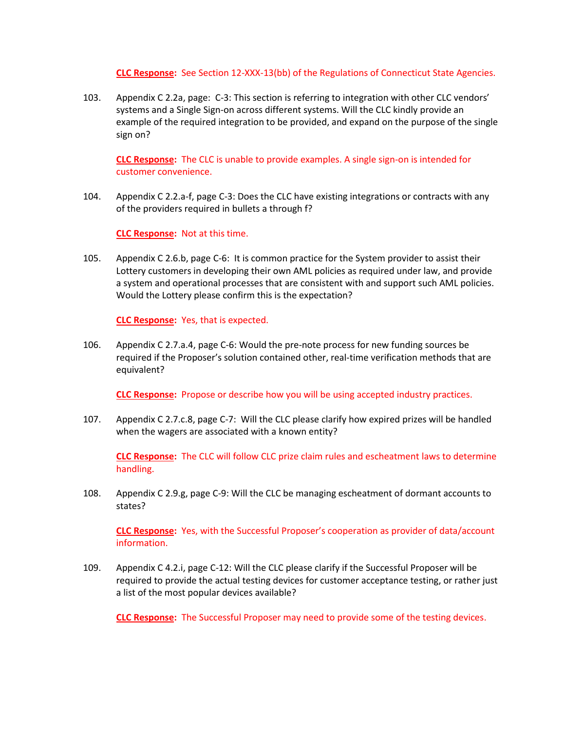**CLC Response:** See Section 12-XXX-13(bb) of the Regulations of Connecticut State Agencies.

103. Appendix C 2.2a, page: C-3: This section is referring to integration with other CLC vendors' systems and a Single Sign-on across different systems. Will the CLC kindly provide an example of the required integration to be provided, and expand on the purpose of the single sign on?

**CLC Response:** The CLC is unable to provide examples. A single sign-on is intended for customer convenience.

104. Appendix C 2.2.a-f, page C-3: Does the CLC have existing integrations or contracts with any of the providers required in bullets a through f?

**CLC Response:** Not at this time.

105. Appendix C 2.6.b, page C-6: It is common practice for the System provider to assist their Lottery customers in developing their own AML policies as required under law, and provide a system and operational processes that are consistent with and support such AML policies. Would the Lottery please confirm this is the expectation?

**CLC Response:** Yes, that is expected.

106. Appendix C 2.7.a.4, page C-6: Would the pre-note process for new funding sources be required if the Proposer's solution contained other, real-time verification methods that are equivalent?

**CLC Response:** Propose or describe how you will be using accepted industry practices.

107. Appendix C 2.7.c.8, page C-7: Will the CLC please clarify how expired prizes will be handled when the wagers are associated with a known entity?

**CLC Response:** The CLC will follow CLC prize claim rules and escheatment laws to determine handling.

108. Appendix C 2.9.g, page C-9: Will the CLC be managing escheatment of dormant accounts to states?

**CLC Response:** Yes, with the Successful Proposer's cooperation as provider of data/account information.

109. Appendix C 4.2.i, page C-12: Will the CLC please clarify if the Successful Proposer will be required to provide the actual testing devices for customer acceptance testing, or rather just a list of the most popular devices available?

**CLC Response:** The Successful Proposer may need to provide some of the testing devices.